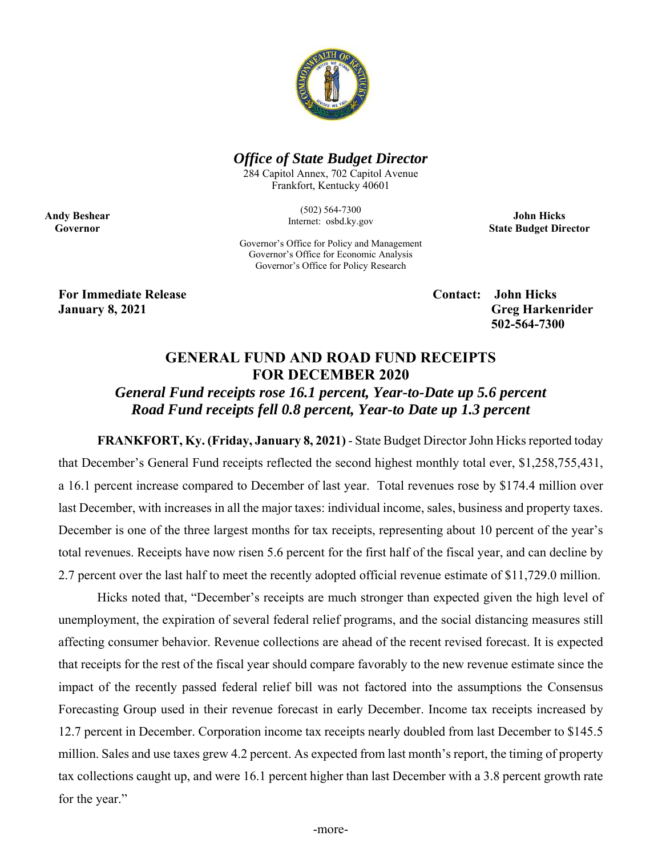

## *Office of State Budget Director*

284 Capitol Annex, 702 Capitol Avenue Frankfort, Kentucky 40601

> (502) 564-7300 Internet: osbd.ky.gov

**John Hicks State Budget Director** 

Governor's Office for Policy and Management Governor's Office for Economic Analysis Governor's Office for Policy Research

**For Immediate Release Contact: John Hicks** 

**Andy Beshear Governor** 

> **January 8, 2021 Greg Harkenrider 502-564-7300**

## **GENERAL FUND AND ROAD FUND RECEIPTS FOR DECEMBER 2020**

*General Fund receipts rose 16.1 percent, Year-to-Date up 5.6 percent Road Fund receipts fell 0.8 percent, Year-to Date up 1.3 percent* 

**FRANKFORT, Ky. (Friday, January 8, 2021)** - State Budget Director John Hicks reported today that December's General Fund receipts reflected the second highest monthly total ever, \$1,258,755,431, a 16.1 percent increase compared to December of last year. Total revenues rose by \$174.4 million over last December, with increases in all the major taxes: individual income, sales, business and property taxes. December is one of the three largest months for tax receipts, representing about 10 percent of the year's total revenues. Receipts have now risen 5.6 percent for the first half of the fiscal year, and can decline by 2.7 percent over the last half to meet the recently adopted official revenue estimate of \$11,729.0 million.

Hicks noted that, "December's receipts are much stronger than expected given the high level of unemployment, the expiration of several federal relief programs, and the social distancing measures still affecting consumer behavior. Revenue collections are ahead of the recent revised forecast. It is expected that receipts for the rest of the fiscal year should compare favorably to the new revenue estimate since the impact of the recently passed federal relief bill was not factored into the assumptions the Consensus Forecasting Group used in their revenue forecast in early December. Income tax receipts increased by 12.7 percent in December. Corporation income tax receipts nearly doubled from last December to \$145.5 million. Sales and use taxes grew 4.2 percent. As expected from last month's report, the timing of property tax collections caught up, and were 16.1 percent higher than last December with a 3.8 percent growth rate for the year."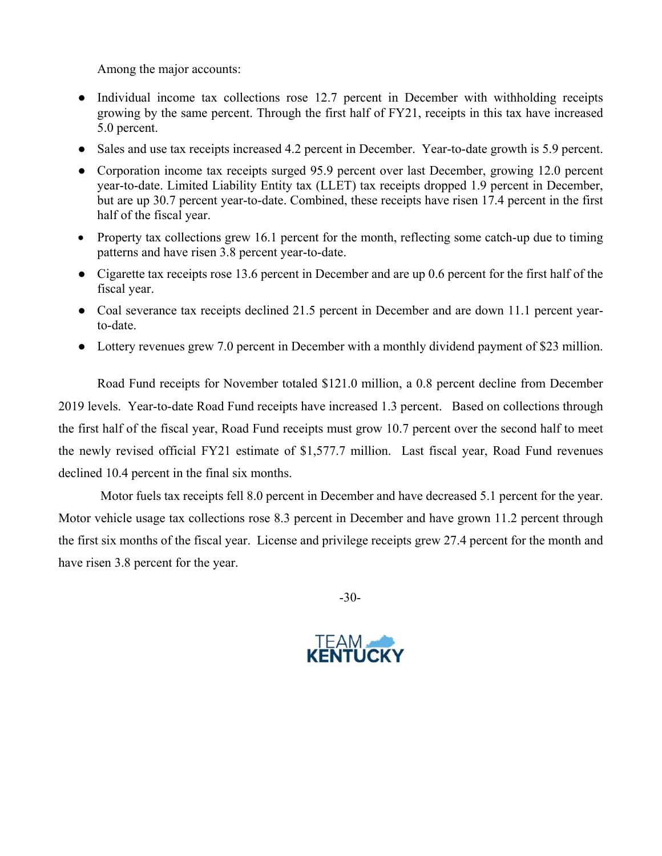Among the major accounts:

- Individual income tax collections rose 12.7 percent in December with withholding receipts growing by the same percent. Through the first half of FY21, receipts in this tax have increased 5.0 percent.
- Sales and use tax receipts increased 4.2 percent in December. Year-to-date growth is 5.9 percent.
- Corporation income tax receipts surged 95.9 percent over last December, growing 12.0 percent year-to-date. Limited Liability Entity tax (LLET) tax receipts dropped 1.9 percent in December, but are up 30.7 percent year-to-date. Combined, these receipts have risen 17.4 percent in the first half of the fiscal year.
- Property tax collections grew 16.1 percent for the month, reflecting some catch-up due to timing patterns and have risen 3.8 percent year-to-date.
- Cigarette tax receipts rose 13.6 percent in December and are up 0.6 percent for the first half of the fiscal year.
- Coal severance tax receipts declined 21.5 percent in December and are down 11.1 percent yearto-date.
- Lottery revenues grew 7.0 percent in December with a monthly dividend payment of \$23 million.

Road Fund receipts for November totaled \$121.0 million, a 0.8 percent decline from December 2019 levels. Year-to-date Road Fund receipts have increased 1.3 percent. Based on collections through the first half of the fiscal year, Road Fund receipts must grow 10.7 percent over the second half to meet the newly revised official FY21 estimate of \$1,577.7 million. Last fiscal year, Road Fund revenues declined 10.4 percent in the final six months.

 Motor fuels tax receipts fell 8.0 percent in December and have decreased 5.1 percent for the year. Motor vehicle usage tax collections rose 8.3 percent in December and have grown 11.2 percent through the first six months of the fiscal year. License and privilege receipts grew 27.4 percent for the month and have risen 3.8 percent for the year.

-30-

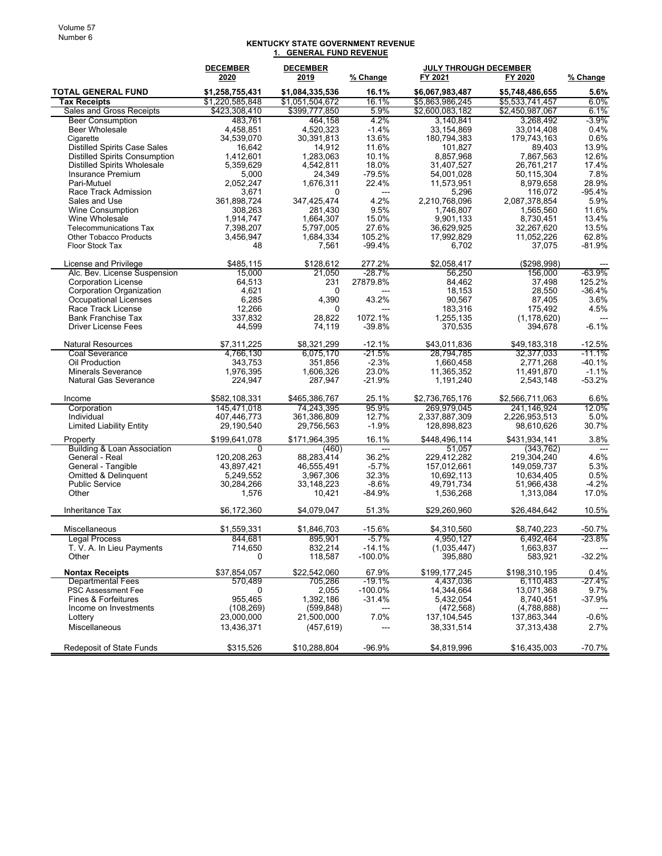## **KENTUCKY STATE GOVERNMENT REVENUE 1. GENERAL FUND REVENUE**

|                                                           | <b>DECEMBER</b> | <b>DECEMBER</b> |                   | <b>JULY THROUGH DECEMBER</b> |                 |                     |
|-----------------------------------------------------------|-----------------|-----------------|-------------------|------------------------------|-----------------|---------------------|
|                                                           | 2020            | 2019            | % Change          | FY 2021                      | FY 2020         | % Change            |
| <b>TOTAL GENERAL FUND</b>                                 | \$1,258,755,431 | \$1,084,335,536 | 16.1%             | \$6,067,983,487              | \$5,748,486,655 | 5.6%                |
| <b>Tax Receipts</b>                                       | \$1,220,585,848 | \$1,051,504,672 | 16.1%             | \$5.863.986.245              | \$5,533,741,457 | $6.0\%$             |
| <b>Sales and Gross Receipts</b>                           | \$423,308,410   | \$399,777,850   | 5.9%              | \$2,600,083,182              | \$2,450,987,067 | 6.1%                |
| <b>Beer Consumption</b>                                   | 483,761         | 464,158         | 4.2%              | 3,140,841                    | 3,268,492       | $-3.9%$             |
| <b>Beer Wholesale</b>                                     | 4,458,851       | 4.520.323       | $-1.4%$           | 33,154,869                   | 33,014,408      | 0.4%                |
| Cigarette                                                 | 34,539,070      | 30,391,813      | 13.6%             | 180.794.383                  | 179,743,163     | 0.6%                |
| <b>Distilled Spirits Case Sales</b>                       | 16,642          | 14,912          | 11.6%             | 101,827                      | 89,403          | 13.9%               |
| <b>Distilled Spirits Consumption</b>                      | 1,412,601       | 1,283,063       | 10.1%             | 8,857,968                    | 7,867,563       | 12.6%               |
| <b>Distilled Spirits Wholesale</b>                        | 5,359,629       | 4,542,811       | 18.0%             | 31,407,527                   | 26,761,217      | 17.4%               |
| Insurance Premium                                         | 5,000           | 24,349          | $-79.5%$          | 54,001,028                   | 50,115,304      | 7.8%                |
| Pari-Mutuel                                               | 2,052,247       | 1,676,311       | 22.4%             | 11,573,951                   | 8,979,658       | 28.9%               |
| Race Track Admission                                      | 3,671           | $\Omega$        | ---               | 5,296                        | 116,072         | $-95.4%$            |
| Sales and Use                                             | 361,898,724     | 347,425,474     | 4.2%              | 2,210,768,096                | 2,087,378,854   | 5.9%                |
| <b>Wine Consumption</b>                                   | 308,263         | 281,430         | 9.5%              | 1,746,807                    | 1,565,560       | 11.6%               |
| Wine Wholesale                                            | 1,914,747       | 1,664,307       | 15.0%             | 9,901,133                    | 8,730,451       | 13.4%               |
| <b>Telecommunications Tax</b>                             | 7,398,207       | 5,797,005       | 27.6%             | 36,629,925                   | 32,267,620      | 13.5%               |
| <b>Other Tobacco Products</b>                             | 3,456,947       | 1,684,334       | 105.2%            | 17,992,829                   | 11,052,226      | 62.8%               |
| Floor Stock Tax                                           | 48              | 7,561           | -99.4%            | 6,702                        | 37,075          | $-81.9%$            |
| License and Privilege                                     | \$485,115       | \$128,612       | 277.2%            | \$2,058,417                  | (\$298,998)     |                     |
| Alc. Bev. License Suspension                              | 15,000          | 21,050          | $-28.7%$          | 56,250                       | 156,000         | $-63.9%$            |
| <b>Corporation License</b>                                | 64,513          | 231             | 27879.8%          | 84.462                       | 37.498          | 125.2%              |
| <b>Corporation Organization</b>                           | 4,621           | 0               | $---$             | 18,153                       | 28,550          | $-36.4%$            |
| <b>Occupational Licenses</b>                              | 6,285           | 4,390           | 43.2%             | 90,567                       | 87,405          | 3.6%                |
| Race Track License                                        | 12,266          | 0               | ---               | 183,316                      | 175,492         | 4.5%                |
| <b>Bank Franchise Tax</b>                                 | 337,832         | 28,822          | 1072.1%           | 1,255,135                    | (1, 178, 620)   |                     |
| <b>Driver License Fees</b>                                | 44,599          | 74,119          | $-39.8%$          | 370,535                      | 394,678         | $-6.1%$             |
|                                                           |                 |                 |                   |                              |                 |                     |
| <b>Natural Resources</b>                                  | \$7,311,225     | \$8,321,299     | $-12.1%$          | \$43,011,836                 | \$49,183,318    | $-12.5%$            |
| Coal Severance                                            | 4,766,130       | 6.075.170       | -21.5%            | 28,794,785                   | 32,377,033      | -11.1%              |
| Oil Production                                            | 343,753         | 351,856         | $-2.3%$           | 1,660,458                    | 2,771,268       | $-40.1%$            |
| <b>Minerals Severance</b><br><b>Natural Gas Severance</b> | 1,976,395       | 1,606,326       | 23.0%<br>$-21.9%$ | 11,365,352                   | 11,491,870      | $-1.1%$<br>$-53.2%$ |
|                                                           | 224,947         | 287,947         |                   | 1,191,240                    | 2,543,148       |                     |
| Income                                                    | \$582,108,331   | \$465,386,767   | 25.1%             | \$2,736,765,176              | \$2,566,711,063 | 6.6%                |
| Corporation                                               | 145,471,018     | 74,243,395      | 95.9%             | 269,979,045                  | 241,146,924     | 12.0%               |
| Individual                                                | 407,446,773     | 361,386,809     | 12.7%             | 2,337,887,309                | 2,226,953,513   | 5.0%                |
| <b>Limited Liability Entity</b>                           | 29,190,540      | 29,756,563      | $-1.9%$           | 128,898,823                  | 98,610,626      | 30.7%               |
| Property                                                  | \$199,641,078   | \$171,964,395   | 16.1%             | \$448,496,114                | \$431,934,141   | 3.8%                |
| <b>Building &amp; Loan Association</b>                    | 0               | (460)           | ---               | 51,057                       | (343, 762)      | ---                 |
| General - Real                                            | 120,208,263     | 88,283,414      | 36.2%             | 229,412,282                  | 219,304,240     | 4.6%                |
| General - Tangible                                        | 43,897,421      | 46,555,491      | $-5.7%$           | 157,012,661                  | 149,059,737     | 5.3%                |
| <b>Omitted &amp; Delinquent</b>                           | 5,249,552       | 3,967,306       | 32.3%             | 10,692,113                   | 10,634,405      | 0.5%                |
| <b>Public Service</b>                                     | 30,284,266      | 33, 148, 223    | $-8.6%$           | 49,791,734                   | 51,966,438      | $-4.2%$             |
| Other                                                     | 1,576           | 10,421          | $-84.9%$          | 1,536,268                    | 1,313,084       | 17.0%               |
| <b>Inheritance Tax</b>                                    | \$6,172,360     | \$4,079,047     | 51.3%             | \$29.260.960                 | \$26,484,642    | 10.5%               |
|                                                           |                 |                 |                   |                              |                 |                     |
| Miscellaneous                                             | \$1.559.331     | \$1,846,703     | $-15.6%$          | \$4,310,560                  | \$8,740,223     | $-50.7%$            |
| <b>Legal Process</b>                                      | 844,681         | 895,901         | $-5.7\%$          | 4,950,127                    | 6,492,464       | $-23.8%$            |
| T. V. A. In Lieu Payments                                 | 714,650         | 832,214         | $-14.1%$          | (1,035,447)                  | 1,663,837       |                     |
| Other                                                     | $\Omega$        | 118,587         | -100.0%           | 395,880                      | 583,921         | $-32.2%$            |
| <b>Nontax Receipts</b>                                    | \$37,854,057    | \$22,542,060    | 67.9%             | \$199,177,245                | \$198,310,195   | 0.4%                |
| <b>Departmental Fees</b>                                  | 570,489         | 705,286         | -19.1%            | 4,437,036                    | 6,110,483       | -27.4%              |
| <b>PSC Assessment Fee</b>                                 | 0               | 2,055           | $-100.0\%$        | 14,344,664                   | 13,071,368      | 9.7%                |
| Fines & Forfeitures                                       | 955.465         | 1,392,186       | $-31.4%$          | 5,432,054                    | 8,740,451       | -37.9%              |
| Income on Investments                                     | (108, 269)      | (599, 848)      |                   | (472, 568)                   | (4,788,888)     |                     |
| Lottery                                                   | 23,000,000      | 21,500,000      | 7.0%              | 137, 104, 545                | 137,863,344     | $-0.6%$             |
| Miscellaneous                                             | 13,436,371      | (457, 619)      | ---               | 38,331,514                   | 37,313,438      | 2.7%                |
|                                                           |                 |                 |                   |                              |                 |                     |
| <b>Redeposit of State Funds</b>                           | \$315,526       | \$10,288,804    | $-96.9%$          | \$4,819,996                  | \$16,435,003    | $-70.7%$            |